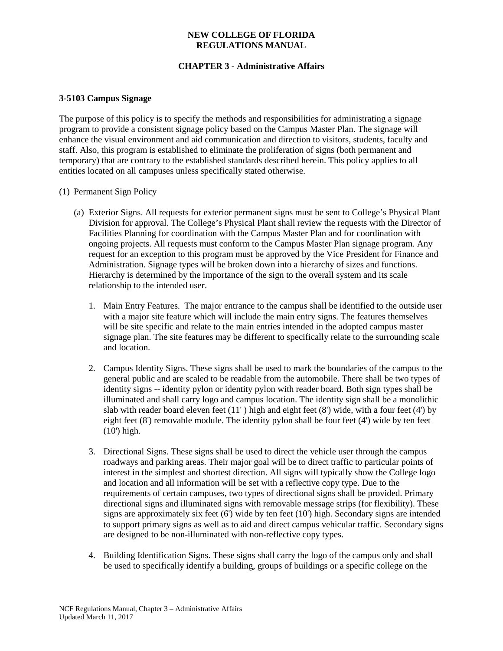### **NEW COLLEGE OF FLORIDA REGULATIONS MANUAL**

# **CHAPTER 3 - Administrative Affairs**

#### **3-5103 Campus Signage**

The purpose of this policy is to specify the methods and responsibilities for administrating a signage program to provide a consistent signage policy based on the Campus Master Plan. The signage will enhance the visual environment and aid communication and direction to visitors, students, faculty and staff. Also, this program is established to eliminate the proliferation of signs (both permanent and temporary) that are contrary to the established standards described herein. This policy applies to all entities located on all campuses unless specifically stated otherwise.

#### (1) Permanent Sign Policy

- (a) Exterior Signs. All requests for exterior permanent signs must be sent to College's Physical Plant Division for approval. The College's Physical Plant shall review the requests with the Director of Facilities Planning for coordination with the Campus Master Plan and for coordination with ongoing projects. All requests must conform to the Campus Master Plan signage program. Any request for an exception to this program must be approved by the Vice President for Finance and Administration. Signage types will be broken down into a hierarchy of sizes and functions. Hierarchy is determined by the importance of the sign to the overall system and its scale relationship to the intended user.
	- 1. Main Entry Features. The major entrance to the campus shall be identified to the outside user with a major site feature which will include the main entry signs. The features themselves will be site specific and relate to the main entries intended in the adopted campus master signage plan. The site features may be different to specifically relate to the surrounding scale and location.
	- 2. Campus Identity Signs. These signs shall be used to mark the boundaries of the campus to the general public and are scaled to be readable from the automobile. There shall be two types of identity signs -- identity pylon or identity pylon with reader board. Both sign types shall be illuminated and shall carry logo and campus location. The identity sign shall be a monolithic slab with reader board eleven feet  $(11')$  high and eight feet  $(8')$  wide, with a four feet  $(4')$  by eight feet (8') removable module. The identity pylon shall be four feet (4') wide by ten feet (10') high.
	- 3. Directional Signs. These signs shall be used to direct the vehicle user through the campus roadways and parking areas. Their major goal will be to direct traffic to particular points of interest in the simplest and shortest direction. All signs will typically show the College logo and location and all information will be set with a reflective copy type. Due to the requirements of certain campuses, two types of directional signs shall be provided. Primary directional signs and illuminated signs with removable message strips (for flexibility). These signs are approximately six feet (6') wide by ten feet (10') high. Secondary signs are intended to support primary signs as well as to aid and direct campus vehicular traffic. Secondary signs are designed to be non-illuminated with non-reflective copy types.
	- 4. Building Identification Signs. These signs shall carry the logo of the campus only and shall be used to specifically identify a building, groups of buildings or a specific college on the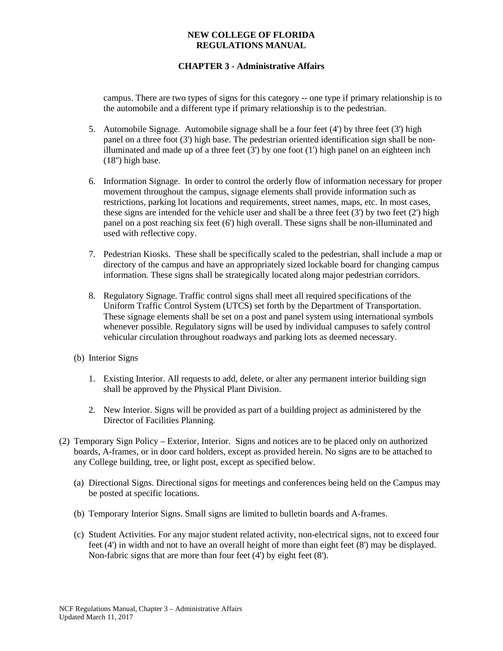### **NEW COLLEGE OF FLORIDA REGULATIONS MANUAL**

## **CHAPTER 3 - Administrative Affairs**

campus. There are two types of signs for this category -- one type if primary relationship is to the automobile and a different type if primary relationship is to the pedestrian.

- 5. Automobile Signage. Automobile signage shall be a four feet (4') by three feet (3') high panel on a three foot  $(3')$  high base. The pedestrian oriented identification sign shall be nonilluminated and made up of a three feet  $(3')$  by one foot  $(1')$  high panel on an eighteen inch (18'') high base.
- 6. Information Signage. In order to control the orderly flow of information necessary for proper movement throughout the campus, signage elements shall provide information such as restrictions, parking lot locations and requirements, street names, maps, etc. In most cases, these signs are intended for the vehicle user and shall be a three feet  $(3')$  by two feet  $(2')$  high panel on a post reaching six feet (6') high overall. These signs shall be non-illuminated and used with reflective copy.
- 7. Pedestrian Kiosks. These shall be specifically scaled to the pedestrian, shall include a map or directory of the campus and have an appropriately sized lockable board for changing campus information. These signs shall be strategically located along major pedestrian corridors.
- 8. Regulatory Signage. Traffic control signs shall meet all required specifications of the Uniform Traffic Control System (UTCS) set forth by the Department of Transportation. These signage elements shall be set on a post and panel system using international symbols whenever possible. Regulatory signs will be used by individual campuses to safely control vehicular circulation throughout roadways and parking lots as deemed necessary.
- (b) Interior Signs
	- 1. Existing Interior. All requests to add, delete, or alter any permanent interior building sign shall be approved by the Physical Plant Division.
	- 2. New Interior. Signs will be provided as part of a building project as administered by the Director of Facilities Planning.
- (2) Temporary Sign Policy Exterior, Interior. Signs and notices are to be placed only on authorized boards, A-frames, or in door card holders, except as provided herein. No signs are to be attached to any College building, tree, or light post, except as specified below.
	- (a) Directional Signs. Directional signs for meetings and conferences being held on the Campus may be posted at specific locations.
	- (b) Temporary Interior Signs. Small signs are limited to bulletin boards and A-frames.
	- (c) Student Activities. For any major student related activity, non-electrical signs, not to exceed four feet (4') in width and not to have an overall height of more than eight feet (8') may be displayed. Non-fabric signs that are more than four feet (4') by eight feet (8').